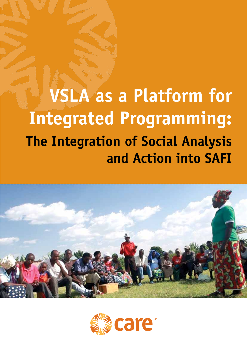# **VSLA as a Platform for Integrated Programming: The Integration of Social Analysis and Action into SAFI**



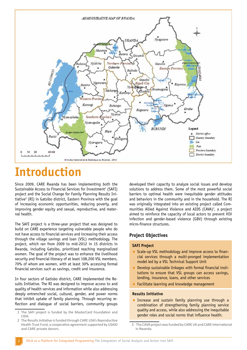

# **Introduction**

Since 2009, CARE Rwanda has been implementing both the Sustainable Access to Financial Services for Investment<sup>1</sup> (SAFI) project and the Social Change for Family Planning Results Initiative<sup>2</sup> (RI) in Gatsibo district, Eastern Province with the goal of increasing economic opportunities, reducing poverty, and improving gender equity and sexual, reproductive, and maternal health.

The SAFI project is a three-year project that was designed to build on CARE experience targeting vulnerable people who do not have access to financial services and increasing their access through the village savings and loan (VSL) methodology. The project, which ran from 2009 to mid-2012 in 15 districts in Rwanda, including Gatsibo, prioritized reaching marginalized women. The goal of the project was to enhance the livelihood security and financial literacy of at least 108,200 VSL members, 70% of whom are women, with at least 30% accessing formal financial services such as savings, credit and insurance.

In four sectors of Gatisbo district, CARE implemented the Results Initiative. The RI was designed to improve access to and quality of health services and information while also addressing deeply entrenched social, cultural, gender, and power norms that inhibit uptake of family planning. Through recurring reflection and dialogue of social barriers, community groups developed their capacity to analyze social issues and develop solutions to address them. Some of the most powerful social barriers to optimal health were inequitable gender attitudes and behaviors in the community and in the household. The RI was originally integrated into an existing project called Communities Allied Against Violence and AIDS (CAVA)<sup>3</sup>, a project aimed to reinforce the capacity of local actors to prevent HIV infection and gender-based violence (GBV) through existing micro-finance structures.

#### **Project Objectives**

#### **SAFI Project**

- Scale-up VSL methodology and improve access to financial services through a multi-pronged implementation model led by a VSL Technical Support Unit
- Develop sustainable linkages with formal financial institutions to ensure that VSL groups can access savings, lending, insurance, loans, and other services
- **•** Facilitate learning and knowledge management

#### **Results Initiative**

**•** Increase and sustain family planning use through a combination of strengthening family planning service quality and access, while also addressing the inequitable gender roles and social norms that influence health.

<sup>1</sup> The SAFI project is funded by the MasterCard Foundation and CIDA.

<sup>2</sup> The Results Initiative is funded through CARE USA's Reproductive Health Trust Fund, a cooperative agreement supported by USAID and CARE private donors.

<sup>3</sup> The CAVA project was funded by CARE UK and CARE International in Rwanda.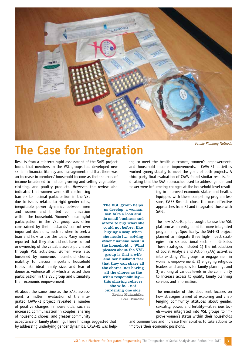

The VSL group helps us develop; a woman can take a loan and do small business and afford to buy what she could not before, like buying a soap when she needs it… solving other financial need in the household… What pleases about the VSL group is that a wife and her husband feel that they can share all the chores, not having all the chores as the wife's responsibility this sharing relieves the wife… not burdening one side. — Rosine Mukankiko, Peer Educator

# **The Case for Integration**

Results from a midterm rapid assessment of the SAFI project found that members in the VSL groups had developed new skills in financial literacy and management and that there was an increase in members' household income as their sources of income broadened to include growing and selling vegetables, clothing, and poultry products. However, the review also

indicated that women were still confronting barriers to optimal participation in the VSL due to issues related to rigid gender roles, inequitable power dynamics between men and women and limited communication within the household. Women's meaningful participation in the VSL group was often constrained by their husbands' control over important decisions, such as when to seek a loan and how to use the loan. Many women reported that they also did not have control or ownership of the valuable assets purchased through VSL activities. Women were also burdened by numerous household chores, inability to discuss important household topics like ideal family size, and fear of domestic violence all of which affected their participation in the VSL group and ultimately their economic empowerment.

At about the same time as the SAFI assessment, a midterm evaluation of the integrated CAVA-RI project revealed a number of positive changes in households, such as increased communication in couples, sharing of household chores, and greater community

acceptance of family planning. These findings suggested that, by addressing underlying gender dynamics, CAVA-RI was helping to meet the health outcomes, women's empowerment, and household income improvements. CAVA-RI activities worked synergistically to meet the goals of both projects. A third party final evaluation of CAVA found similar results, indicating that the SAA approaches used to address gender and power were influencing changes at the household level result-

> ing in improved economic status and health. Equipped with these compelling program lessons, CARE Rwanda chose the most effective approaches from RI and integrated those with SAFI.

> The new SAFI-RI pilot sought to use the VSL platform as an entry point for more integrated programming. Specifically, the SAFI-RI project planned to integrate three high-impact strategies into six additional sectors in Gatsibo. These strategies included 1) the introduction of Social Analysis and Action (SAA) activities into existing VSL groups to engage men in women's empowerment, 2) engaging religious leaders as champions for family planning, and 3) working at various levels in the community to increase access to quality family planning services and information.

> The remainder of this document focuses on how strategies aimed at exploring and challenging community attitudes about gender, sexuality, power, and fertility—at various levels—were integrated into VSL groups to improve women's status within their households

and communities and increase their abilities to take actions to improve their economic positions.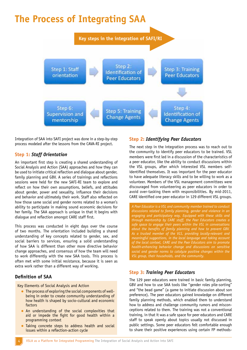# **The Process of Integrating SAA**



Integration of SAA into SAFI project was done in a step-by-step process modeled after the lessons from the CAVA-RI project.

#### **Step 1:** *Staff Orientation*

An important first step is creating a shared understanding of Social Analysis and Action (SAA) approaches and how they can be used to initiate critical reflection and dialogue about gender, family planning and GBV. A series of trainings and reflections sessions were held for the new SAFI-RI team to explore and reflect on how their own assumptions, beliefs, and attitudes about gender, power and sexuality, influence their decisions and behavior and ultimately their work. Staff also reflected on how those same social and gender norms related to a woman's ability to participate in making sound economic decisions for her family. The SAA approach is unique in that it begins with dialogue and reflection amongst CARE staff first.

This process was conducted in eight days over the course of two months. The orientation included building a shared understanding of key concepts related to gender, sex, and social barriers to services, ensuring a solid understanding of how SAA is different than other more directive behavior change approaches, and consensus of how the team will need to work differently with the new SAA tools. This process is often met with some initial resistance, because it is seen as extra work rather than a different way of working.

#### **Definition of SAA**

Key Elements of Social Analysis and Action

- The process of exploring the social components of wellbeing in order to create community understanding of how health is shaped by socio-cultural and economic factors
- An understanding of the social complexities that aid or impede the fight for good health within a programming context
- Taking concrete steps to address health and social issues within a reflection-action cycle

#### **Step 2:** *Identifying Peer Educators*

The next step in the integration process was to reach out to the community to identify peer educators to be trained. VSL members were first led in a discussion of the characteristics of a peer educator, like the ability to conduct discussions within the VSL groups, after which interested VSL members selfidentified themselves. It was important for the peer educator to have adequate literacy skills and to be willing to work as a volunteer. Members of the VSL management committees were discouraged from volunteering as peer educators in order to avoid over-tasking them with responsibilities. By mid-2011, CARE identified one peer educator in 129 different VSL groups.

*A Peer Educator is a VSL and community member trained to conduct discussions related to family planning, gender and violence in an engaging and participatory way. Equipped with these skills and through mentorship by CARE staff, the Peer Educators creates a safe space to engage their peers within the VSL in conversations about the benefits of family planning and how to prevent GBV. As a trusted member of the VLS, providing locally-relevant and meaningful suggestions, in the local language and taking account of the local context, CARE and the Peer Educators aim to promote health-enhancing behavior change and discussions on sensitive social and gender norms to catalyze positive changes within the VSL group, their households, and the community.* 

#### **Step 3:** *Training Peer Educators*

The 129 peer educators were trained in basic family planning, GBV and how to use SAA tools like "gender roles pile-sorting" and "the bead game" (a game to initiate discussion about son preference). The peer educators gained knowledge on different family planning methods, which enabled them to understand how to address and challenge community rumors and misconceptions related to them. The training was not a conventional training, in that it was a safe space for peer educators and CARE staff to speak openly about topics usually not discussed in public settings. Some peer educators felt comfortable enough to share their positive experiences using certain FP methods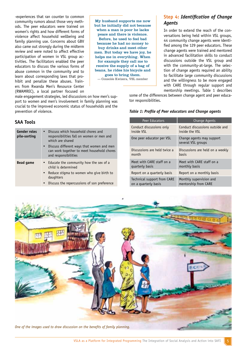-experiences that ran counter to common community rumors about those very methods. The peer educators were trained on women's rights and how different forms of violence affect household wellbeing and family planning use. Concerns about GBV also came out strongly during the midterm review and were noted to affect effective participation of women in VSL group activities. The facilitators enabled the peer educators to discuss the various forms of abuse common in the community and to learn about corresponding laws that prohibit and penalize these abuses. Trainers from Rwanda Men's Resource Center (RWAMREC), a local partner focused on

My husband supports me now but he initially did not because when a man is poor he lacks peace and there is violence. Before, he used to feel bad because he had no money to buy drinks and meet other men. But today we have joy, he helps me in everything. When for example they call me to receive the supply of a bag of beans, he rides his bicycle and goes to bring them. — Consolée Kwizera, VSL member

**Step 4:** *Identification of Change Agents*

In order to extend the reach of the conversations being held within VSL groups, 44 community change agents were identified among the 129 peer educators. These change agents were trained and mentored in advanced facilitation skills to conduct discussions outside the VSL group and with the community-at-large. The selection of change agents required an ability to facilitate large community discussions and the willingness to be more engaged with CARE through regular support and mentorship meetings. Table 1 describes

some of the differences between change agent and peer educator responsibilities.

male engagement strategies, led discussions on how men's support to women and men's involvement in family planning was crucial to the improved economic status of households and the prevention of violence.

#### **SAA Tools**

| <b>Gender roles</b><br>pile-sorting | Discuss which household chores and<br>$\bullet$<br>responsibilities fall on women or men and<br>which are shared<br>Discuss different ways that women and men<br>$\bullet$<br>can work together to meet household chores<br>and responsibilities |
|-------------------------------------|--------------------------------------------------------------------------------------------------------------------------------------------------------------------------------------------------------------------------------------------------|
| <b>Bead game</b>                    | • Educate the community how the sex of a<br>child is determined                                                                                                                                                                                  |
|                                     | Reduce stigma to women who give birth to<br>$\bullet$<br>daughters                                                                                                                                                                               |
|                                     | Discuss the repercussions of son preference<br>$\bullet$                                                                                                                                                                                         |

#### *Table 1: Profile of Peer educators and Change agents*

| Peer Educators               | <b>Change Agents</b>                            |
|------------------------------|-------------------------------------------------|
| Conduct discussions only     | Conduct discussions outside and                 |
| inside VSL                   | inside the VSL                                  |
| One peer educator per VSL    | Change agents may support<br>several VSL groups |
| Discussions are held twice a | Discussions are held on a weekly                |
| month                        | basis                                           |
| Meet with CARF staff on a    | Meet with CARF staff on a                       |
| quarterly basis              | monthly basis                                   |
| Report on a quarterly basis  | Report on a monthly basis                       |
| Technical support from CARE  | Monthly supervision and                         |
| on a quarterly basis         | mentorship from CARE                            |

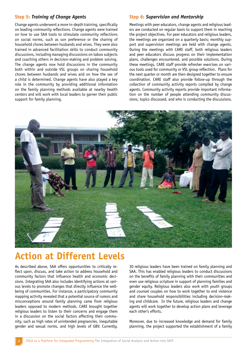#### **Step 5:** *Training of Change Agents*

Change agents underwent a more in-depth training, specifically on leading community reflections. Change agents were trained on how to use SAA tools to stimulate community reflections on social norms, such as son preference or the sharing of household chores between husbands and wives. They were also trained in advanced facilitation skills to conduct community discussions, including managing discussions on taboo subjects and coaching others in decision-making and problem solving. The change agents now hold discussions in the community both within and outside VSL groups on sharing household chores between husbands and wives and on how the sex of a child is determined. Change agents have also played a key role in the community by providing additional information on the family planning methods available at nearby health centers and will work with local leaders to garner their public support for family planning.

#### **Step 6:** *Supervision and Mentorship*

Meetings with peer educators, change agents and religious leaders are conducted on regular basis to support them in reaching the project objectives. For peer educators and religious leaders, the meetings are organized on a quarterly basis; monthly support and supervision meetings are held with change agents. During the meetings with CARE staff, both religious leaders and peer educators discuss progress on their implementation plans, challenges encountered, and possible solutions. During these meetings, CARE staff provide refresher exercises on various tools used for community or VSL group reflection. Plans for the next quarter or month are then designed together to ensure coordination. CARE staff also provide follow-up through the collection of community activity reports compiled by change agents. Community activity reports provide important information on the number of people attending community discussions, topics discussed, and who is conducting the discussions.



## **Action at Different Levels**

As described above, SAA offers opportunities to critically reflect upon, discuss, and take action to address household and community factors that influence health and economic decisions. Integrating SAA also includes identifying actions at various levels to promote changes that directly influence the wellbeing of communities. For instance, a participatory community mapping activity revealed that a potential source of rumors and misconceptions around family planning came from religious leaders opposed to modern methods. CARE brought together religious leaders to listen to their concerns and engage them in a discussion on the social factors affecting their community, such as high rates of unintended pregnancies, inequitable gender and sexual norms, and high levels of GBV. Currently,

30 religious leaders have been trained on family planning and SAA. This has enabled religious leaders to conduct discussions on the benefits of family planning with their communities and even use religious scripture in support of planning families and gender equity. Religious leaders also work with youth groups and counsel couples on how to work together to end violence and share household responsibilities including decision-making and childcare. In the future, religious leaders and change agents will work together to develop action plans and leverage each other's efforts.

Moreover, due to increased knowledge and demand for family planning, the project supported the establishment of a family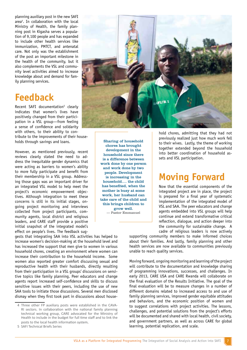planning auxiliary post in the new SAFI area4 . In collaboration with the local Ministry of Health, the family planning post in Kigasha serves a population of 9,100 people and has expanded to include other health services like immunization, PMTCT, and antenatal care. Not only was the establishment of the post an important milestone in the health of the community, but it also complements the VSL and community level activities aimed to increase knowledge about and demand for family planning services.

## **Feedback**

Recent SAFI documentation<sup>5</sup> clearly indicates that women's lives have positively changed from their participation in a VSL group—from feeling a sense of confidence and solidarity with others, to their ability to contribute to the improvements of their house-

holds through savings and loans.

However, as mentioned previously, recent reviews clearly stated the need to address the inequitable gender dynamics that were acting as barriers to women's ability to more fully participate and benefit from their membership in a VSL group. Addressing those gaps was an important driver for an integrated VSL model to help meet the project's economic empowerment objectives. Although integration to meet these concerns is still in its initial stages, ongoing project monitoring and interviews collected from project participants, community agents, local district and religious leaders, and CARE staff provide a positive initial snapshot of the integrated model's effect on people's lives. The feedback sug-

gests that integrating SAA into VSL activities has helped to increase women's decision-making at the household level and has increased the support that men give to women in various household chores, creating an environment where women can increase their contribution to the household income. Some women also reported greater comfort discussing sexual and reproductive health with their husbands, directly resulting from their participation in a VSL groups' discussions on sensitive topics like family planning. Peer educators and change agents report increased self-confidence and skills to discuss sensitive issues with their peers, including the use of new SAA tools to initiate those discussions. Several men disclosed dismay when they first took part in discussions about house-



Sharing of household chores has brought development in the household since there is a difference between work done by one person and work done by two people. Development is increasing in the household…. the child has benefited, when the mother is busy at some work, her husband can take care of the child and this brings children to grow well. — Pastor Emmanuel

hold chores, admitting that they had not previously realized just how much work fell to their wives. Lastly, the theme of working together extended beyond the household into better coordination of household assets and VSL participation.

# **Moving Forward**

Now that the essential components of the integrated project are in place, the project is prepared for a final year of systematic implementation of the integrated model of VSL and SAA. The peer educators and change agents embedded into VSL groups will help continue and extend transformative critical reflection, dialogue, and action deeper into the community for sustainable change. A cadre of religious leaders is now actively

supporting community members to make informed choices about their families. And lastly, family planning and other health services are now available to communities previously unable to reach quality services.

Moving forward, ongoing monitoring and learning of the project will contribute to the documentation and knowledge sharing of programming innovations, successes, and challenges. In early 2013, CARE USA and CARE Rwanda will collaborate on the final evaluation of the Results Initiative. The goal of the final evaluation will be to measure changes in a number of different domains related to increased access to and use of family planning services, improved gender equitable attitudes and behaviors, and the economic position of women and to suggest correlations with project activities. The lessons, challenges, and potential solutions from the project's efforts will be documented and shared with local health, civil society, and government partners, as well as across CARE for global learning, potential replication, and scale.

<sup>4</sup> Three other FP auxiliary posts were established in the CAVA-RI sectors. In collaboration with the national family planning technical working group, CARE advocated for the Ministry of Health to include in the budget for full time staff and to link the posts to the local health information system.

<sup>5</sup> SAFI Technical Briefs Series